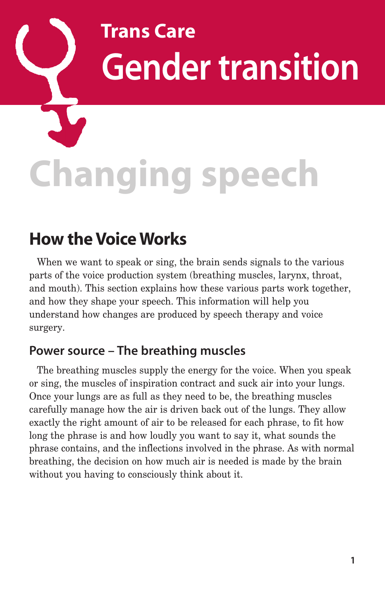# **Trans Care Gender transition**

# **Changing speech**

## **How the Voice Works**

When we want to speak or sing, the brain sends signals to the various parts of the voice production system (breathing muscles, larynx, throat, and mouth). This section explains how these various parts work together, and how they shape your speech. This information will help you understand how changes are produced by speech therapy and voice surgery.

#### **Power source – The breathing muscles**

The breathing muscles supply the energy for the voice. When you speak or sing, the muscles of inspiration contract and suck air into your lungs. Once your lungs are as full as they need to be, the breathing muscles carefully manage how the air is driven back out of the lungs. They allow exactly the right amount of air to be released for each phrase, to fit how long the phrase is and how loudly you want to say it, what sounds the phrase contains, and the inflections involved in the phrase. As with normal breathing, the decision on how much air is needed is made by the brain without you having to consciously think about it.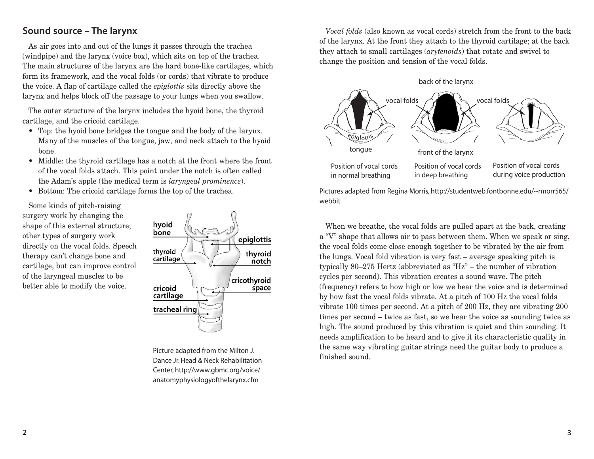#### **Sound source – The larynx**

As air goes into and out of the lungs it passes through the trachea (windpipe) and the larynx (voice box), which sits on top of the trachea. The main structures of the larynx are the hard bone-like cartilages, which form its framework, and the vocal folds (or cords) that vibrate to produce the voice. A flap of cartilage called the *epiglottis* sits directly above the larynx and helps block off the passage to your lungs when you swallow.

The outer structure of the larynx includes the hyoid bone, the thyroid cartilage, and the cricoid cartilage.

- Top: the hyoid bone bridges the tongue and the body of the larynx. Many of the muscles of the tongue, jaw, and neck attach to the hyoid bone.
- Middle: the thyroid cartilage has a notch at the front where the front of the vocal folds attach. This point under the notch is often called the Adam's apple (the medical term is *laryngeal prominence*).
- Bottom: The cricoid cartilage forms the top of the trachea.

Some kinds of pitch-raising surgery work by changing the shape of this external structure; other types of surgery work directly on the vocal folds. Speech therapy can't change bone and cartilage, but can improve control of the laryngeal muscles to be better able to modify the voice.



Picture adapted from the Milton J. Dance Jr. Head & Neck Rehabilitation Center, http://www.gbmc.org/voice/ anatomyphysiologyofthelarynx.cfm

*Vocal folds* (also known as vocal cords) stretch from the front to the back of the larynx. At the front they attach to the thyroid cartilage; at the back they attach to small cartilages (*arytenoids*) that rotate and swivel to change the position and tension of the vocal folds.



Pictures adapted from Regina Morris, http://studentweb.fontbonne.edu/~rmorr565/ webbit

When we breathe, the vocal folds are pulled apart at the back, creating a "V" shape that allows air to pass between them. When we speak or sing, the vocal folds come close enough together to be vibrated by the air from the lungs. Vocal fold vibration is very fast – average speaking pitch is typically 80–275 Hertz (abbreviated as "Hz" – the number of vibration cycles per second). This vibration creates a sound wave. The pitch (frequency) refers to how high or low we hear the voice and is determined by how fast the vocal folds vibrate. At a pitch of 100 Hz the vocal folds vibrate 100 times per second. At a pitch of 200 Hz, they are vibrating 200 times per second – twice as fast, so we hear the voice as sounding twice as high. The sound produced by this vibration is quiet and thin sounding. It needs amplification to be heard and to give it its characteristic quality in the same way vibrating guitar strings need the guitar body to produce a finished sound.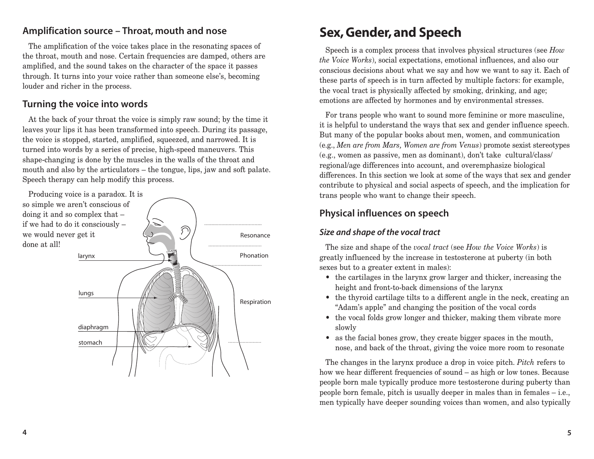#### **Amplification source – Throat, mouth and nose**

The amplification of the voice takes place in the resonating spaces of the throat, mouth and nose. Certain frequencies are damped, others are amplified, and the sound takes on the character of the space it passes through. It turns into your voice rather than someone else's, becoming louder and richer in the process.

#### **Turning the voice into words**

At the back of your throat the voice is simply raw sound; by the time it leaves your lips it has been transformed into speech. During its passage, the voice is stopped, started, amplified, squeezed, and narrowed. It is turned into words by a series of precise, high-speed maneuvers. This shape-changing is done by the muscles in the walls of the throat and mouth and also by the articulators – the tongue, lips, jaw and soft palate. Speech therapy can help modify this process.



# **Sex, Gender, and Speech**

Speech is a complex process that involves physical structures (see *How the Voice Works*), social expectations, emotional influences, and also our conscious decisions about what we say and how we want to say it. Each of these parts of speech is in turn affected by multiple factors: for example, the vocal tract is physically affected by smoking, drinking, and age; emotions are affected by hormones and by environmental stresses.

For trans people who want to sound more feminine or more masculine, it is helpful to understand the ways that sex and gender influence speech. But many of the popular books about men, women, and communication (e.g., *Men are from Mars, Women are from Venus*) promote sexist stereotypes (e.g., women as passive, men as dominant), don't take cultural/class/ regional/age differences into account, and overemphasize biological differences. In this section we look at some of the ways that sex and gender contribute to physical and social aspects of speech, and the implication for trans people who want to change their speech.

#### **Physical influences on speech**

#### **Size and shape of the vocal tract**

The size and shape of the *vocal tract* (see *How the Voice Works*) is greatly influenced by the increase in testosterone at puberty (in both sexes but to a greater extent in males):

- the cartilages in the larynx grow larger and thicker, increasing the height and front-to-back dimensions of the larynx
- the thyroid cartilage tilts to a different angle in the neck, creating an "Adam's apple" and changing the position of the vocal cords
- the vocal folds grow longer and thicker, making them vibrate more slowly
- as the facial bones grow, they create bigger spaces in the mouth, nose, and back of the throat, giving the voice more room to resonate

The changes in the larynx produce a drop in voice pitch. *Pitch* refers to how we hear different frequencies of sound – as high or low tones. Because people born male typically produce more testosterone during puberty than people born female, pitch is usually deeper in males than in females – i.e., men typically have deeper sounding voices than women, and also typically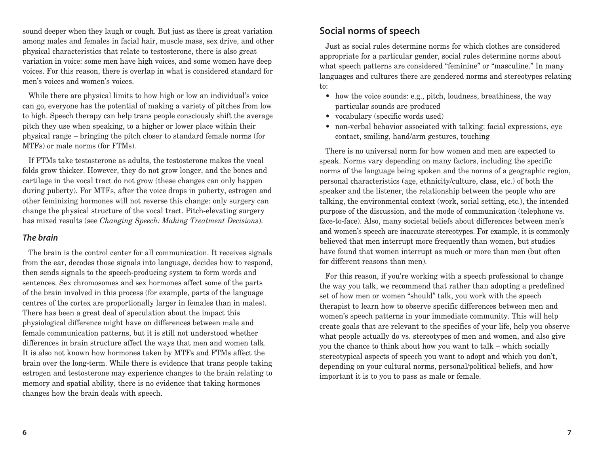sound deeper when they laugh or cough. But just as there is great variation among males and females in facial hair, muscle mass, sex drive, and other physical characteristics that relate to testosterone, there is also great variation in voice: some men have high voices, and some women have deep voices. For this reason, there is overlap in what is considered standard for men's voices and women's voices.

While there are physical limits to how high or low an individual's voice can go, everyone has the potential of making a variety of pitches from low to high. Speech therapy can help trans people consciously shift the average pitch they use when speaking, to a higher or lower place within their physical range – bringing the pitch closer to standard female norms (for MTFs) or male norms (for FTMs).

If FTMs take testosterone as adults, the testosterone makes the vocal folds grow thicker. However, they do not grow longer, and the bones and cartilage in the vocal tract do not grow (these changes can only happen during puberty). For MTFs, after the voice drops in puberty, estrogen and other feminizing hormones will not reverse this change: only surgery can change the physical structure of the vocal tract. Pitch-elevating surgery has mixed results (see *Changing Speech: Making Treatment Decisions*).

#### **The brain**

The brain is the control center for all communication. It receives signals from the ear, decodes those signals into language, decides how to respond, then sends signals to the speech-producing system to form words and sentences. Sex chromosomes and sex hormones affect some of the parts of the brain involved in this process (for example, parts of the language centres of the cortex are proportionally larger in females than in males). There has been a great deal of speculation about the impact this physiological difference might have on differences between male and female communication patterns, but it is still not understood whether differences in brain structure affect the ways that men and women talk. It is also not known how hormones taken by MTFs and FTMs affect the brain over the long-term. While there is evidence that trans people taking estrogen and testosterone may experience changes to the brain relating to memory and spatial ability, there is no evidence that taking hormones changes how the brain deals with speech.

#### **Social norms of speech**

Just as social rules determine norms for which clothes are considered appropriate for a particular gender, social rules determine norms about what speech patterns are considered "feminine" or "masculine." In many languages and cultures there are gendered norms and stereotypes relating to:

- how the voice sounds: e.g., pitch, loudness, breathiness, the way particular sounds are produced
- vocabulary (specific words used)
- non-verbal behavior associated with talking: facial expressions, eye contact, smiling, hand/arm gestures, touching

There is no universal norm for how women and men are expected to speak. Norms vary depending on many factors, including the specific norms of the language being spoken and the norms of a geographic region, personal characteristics (age, ethnicity/culture, class, etc.) of both the speaker and the listener, the relationship between the people who are talking, the environmental context (work, social setting, etc.), the intended purpose of the discussion, and the mode of communication (telephone vs. face-to-face). Also, many societal beliefs about differences between men's and women's speech are inaccurate stereotypes. For example, it is commonly believed that men interrupt more frequently than women, but studies have found that women interrupt as much or more than men (but often for different reasons than men).

For this reason, if you're working with a speech professional to change the way you talk, we recommend that rather than adopting a predefined set of how men or women "should" talk, you work with the speech therapist to learn how to observe specific differences between men and women's speech patterns in your immediate community. This will help create goals that are relevant to the specifics of your life, help you observe what people actually do vs. stereotypes of men and women, and also give you the chance to think about how you want to talk – which socially stereotypical aspects of speech you want to adopt and which you don't, depending on your cultural norms, personal/political beliefs, and how important it is to you to pass as male or female.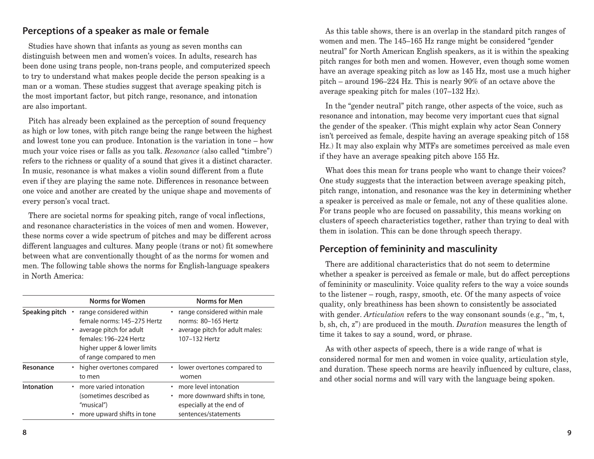#### **Perceptions of a speaker as male or female**

Studies have shown that infants as young as seven months can distinguish between men and women's voices. In adults, research has been done using trans people, non-trans people, and computerized speech to try to understand what makes people decide the person speaking is a man or a woman. These studies suggest that average speaking pitch is the most important factor, but pitch range, resonance, and intonation are also important.

Pitch has already been explained as the perception of sound frequency as high or low tones, with pitch range being the range between the highest and lowest tone you can produce. Intonation is the variation in tone – how much your voice rises or falls as you talk. *Resonance* (also called "timbre") refers to the richness or quality of a sound that gives it a distinct character. In music, resonance is what makes a violin sound different from a flute even if they are playing the same note. Differences in resonance between one voice and another are created by the unique shape and movements of every person's vocal tract.

There are societal norms for speaking pitch, range of vocal inflections, and resonance characteristics in the voices of men and women. However, these norms cover a wide spectrum of pitches and may be different across different languages and cultures. Many people (trans or not) fit somewhere between what are conventionally thought of as the norms for women and men. The following table shows the norms for English-language speakers in North America:

|                | <b>Norms for Women</b>                                                                                                                                                 | <b>Norms for Men</b>                                                                                       |
|----------------|------------------------------------------------------------------------------------------------------------------------------------------------------------------------|------------------------------------------------------------------------------------------------------------|
| Speaking pitch | range considered within<br>female norms: 145-275 Hertz<br>average pitch for adult<br>females: 196-224 Hertz<br>higher upper & lower limits<br>of range compared to men | range considered within male<br>norms: 80-165 Hertz<br>average pitch for adult males:<br>107-132 Hertz     |
| Resonance      | • higher overtones compared<br>to men                                                                                                                                  | lower overtones compared to<br>$\bullet$<br>women                                                          |
| Intonation     | more varied intonation<br>٠<br>(sometimes described as<br>"musical")<br>more upward shifts in tone                                                                     | more level intonation<br>more downward shifts in tone,<br>especially at the end of<br>sentences/statements |

As this table shows, there is an overlap in the standard pitch ranges of women and men. The 145–165 Hz range might be considered "gender neutral" for North American English speakers, as it is within the speaking pitch ranges for both men and women. However, even though some women have an average speaking pitch as low as 145 Hz, most use a much higher pitch – around 196–224 Hz. This is nearly 90% of an octave above the average speaking pitch for males (107–132 Hz).

In the "gender neutral" pitch range, other aspects of the voice, such as resonance and intonation, may become very important cues that signal the gender of the speaker. (This might explain why actor Sean Connery isn't perceived as female, despite having an average speaking pitch of 158 Hz.) It may also explain why MTFs are sometimes perceived as male even if they have an average speaking pitch above 155 Hz.

What does this mean for trans people who want to change their voices? One study suggests that the interaction between average speaking pitch, pitch range, intonation, and resonance was the key in determining whether a speaker is perceived as male or female, not any of these qualities alone. For trans people who are focused on passability, this means working on clusters of speech characteristics together, rather than trying to deal with them in isolation. This can be done through speech therapy.

#### **Perception of femininity and masculinity**

There are additional characteristics that do not seem to determine whether a speaker is perceived as female or male, but do affect perceptions of femininity or masculinity. Voice quality refers to the way a voice sounds to the listener – rough, raspy, smooth, etc. Of the many aspects of voice quality, only breathiness has been shown to consistently be associated with gender. *Articulation* refers to the way consonant sounds (e.g., "m, t, b, sh, ch, z") are produced in the mouth. *Duration* measures the length of time it takes to say a sound, word, or phrase.

As with other aspects of speech, there is a wide range of what is considered normal for men and women in voice quality, articulation style, and duration. These speech norms are heavily influenced by culture, class, and other social norms and will vary with the language being spoken.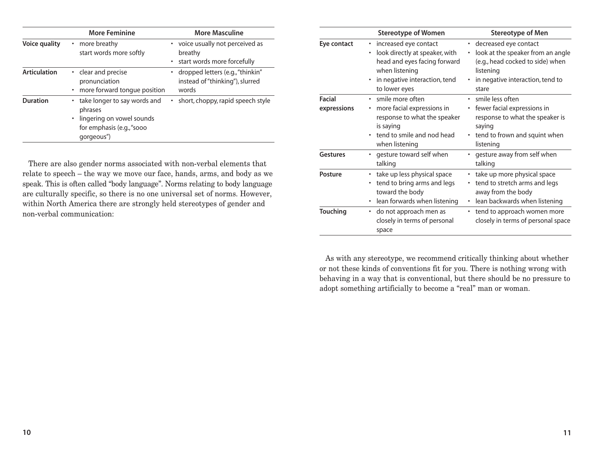|                     | <b>More Feminine</b>                                                                                            | <b>More Masculine</b>                                                          |
|---------------------|-----------------------------------------------------------------------------------------------------------------|--------------------------------------------------------------------------------|
| Voice quality       | more breathy<br>$\bullet$<br>start words more softly                                                            | • voice usually not perceived as<br>breathy<br>• start words more forcefully   |
| <b>Articulation</b> | • clear and precise<br>pronunciation<br>more forward tongue position                                            | • dropped letters (e.g., "thinkin"<br>instead of "thinking"), slurred<br>words |
| <b>Duration</b>     | take longer to say words and<br>phrases<br>lingering on vowel sounds<br>for emphasis (e.g., "sooo<br>qorgeous") | • short, choppy, rapid speech style                                            |

There are also gender norms associated with non-verbal elements that relate to speech – the way we move our face, hands, arms, and body as we speak. This is often called "body language". Norms relating to body language are culturally specific, so there is no one universal set of norms. However, within North America there are strongly held stereotypes of gender and non-verbal communication:

|                       | <b>Stereotype of Women</b>                                                                                                                                                 | Stereotype of Men                                                                                                                                          |
|-----------------------|----------------------------------------------------------------------------------------------------------------------------------------------------------------------------|------------------------------------------------------------------------------------------------------------------------------------------------------------|
| Eye contact           | • increased eye contact<br>look directly at speaker, with<br>$\bullet$<br>head and eyes facing forward<br>when listening<br>in negative interaction, tend<br>to lower eyes | • decreased eye contact<br>look at the speaker from an angle<br>(e.g., head cocked to side) when<br>listening<br>in negative interaction, tend to<br>stare |
| Facial<br>expressions | · smile more often<br>• more facial expressions in<br>response to what the speaker<br>is saying<br>• tend to smile and nod head<br>when listening                          | · smile less often<br>• fewer facial expressions in<br>response to what the speaker is<br>saying<br>• tend to frown and squint when<br>listening           |
| <b>Gestures</b>       | • gesture toward self when<br>talking                                                                                                                                      | • gesture away from self when<br>talking                                                                                                                   |
| <b>Posture</b>        | • take up less physical space<br>• tend to bring arms and legs<br>toward the body<br>lean forwards when listening                                                          | • take up more physical space<br>• tend to stretch arms and legs<br>away from the body<br>lean backwards when listening                                    |
| <b>Touching</b>       | • do not approach men as<br>closely in terms of personal<br>space                                                                                                          | • tend to approach women more<br>closely in terms of personal space                                                                                        |

As with any stereotype, we recommend critically thinking about whether or not these kinds of conventions fit for you. There is nothing wrong with behaving in a way that is conventional, but there should be no pressure to adopt something artificially to become a "real" man or woman.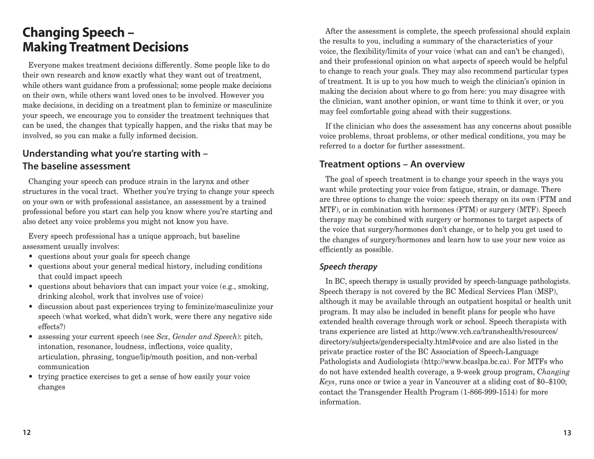### **Changing Speech – Making Treatment Decisions**

Everyone makes treatment decisions differently. Some people like to do their own research and know exactly what they want out of treatment, while others want guidance from a professional; some people make decisions on their own, while others want loved ones to be involved. However you make decisions, in deciding on a treatment plan to feminize or masculinize your speech, we encourage you to consider the treatment techniques that can be used, the changes that typically happen, and the risks that may be involved, so you can make a fully informed decision.

#### **Understanding what you're starting with – The baseline assessment**

Changing your speech can produce strain in the larynx and other structures in the vocal tract. Whether you're trying to change your speech on your own or with professional assistance, an assessment by a trained professional before you start can help you know where you're starting and also detect any voice problems you might not know you have.

Every speech professional has a unique approach, but baseline assessment usually involves:

- questions about your goals for speech change
- questions about your general medical history, including conditions that could impact speech
- questions about behaviors that can impact your voice (e.g., smoking, drinking alcohol, work that involves use of voice)
- discussion about past experiences trying to feminize/masculinize your speech (what worked, what didn't work, were there any negative side effects?)
- assessing your current speech (see *Sex, Gender and Speech*): pitch, intonation, resonance, loudness, inflections, voice quality, articulation, phrasing, tongue/lip/mouth position, and non-verbal communication
- trying practice exercises to get a sense of how easily your voice changes

After the assessment is complete, the speech professional should explain the results to you, including a summary of the characteristics of your voice, the flexibility/limits of your voice (what can and can't be changed), and their professional opinion on what aspects of speech would be helpful to change to reach your goals. They may also recommend particular types of treatment. It is up to you how much to weigh the clinician's opinion in making the decision about where to go from here: you may disagree with the clinician, want another opinion, or want time to think it over, or you may feel comfortable going ahead with their suggestions.

If the clinician who does the assessment has any concerns about possible voice problems, throat problems, or other medical conditions, you may be referred to a doctor for further assessment.

#### **Treatment options – An overview**

The goal of speech treatment is to change your speech in the ways you want while protecting your voice from fatigue, strain, or damage. There are three options to change the voice: speech therapy on its own (FTM and MTF), or in combination with hormones (FTM) or surgery (MTF). Speech therapy may be combined with surgery or hormones to target aspects of the voice that surgery/hormones don't change, or to help you get used to the changes of surgery/hormones and learn how to use your new voice as efficiently as possible.

#### **Speech therapy**

In BC, speech therapy is usually provided by speech-language pathologists. Speech therapy is not covered by the BC Medical Services Plan (MSP), although it may be available through an outpatient hospital or health unit program. It may also be included in benefit plans for people who have extended health coverage through work or school. Speech therapists with trans experience are listed at http://www.vch.ca/transhealth/resources/ directory/subjects/genderspecialty.html#voice and are also listed in the private practice roster of the BC Association of Speech-Language Pathologists and Audiologists (http://www.bcaslpa.bc.ca). For MTFs who do not have extended health coverage, a 9-week group program, *Changing Keys*, runs once or twice a year in Vancouver at a sliding cost of \$0–\$100; contact the Transgender Health Program (1-866-999-1514) for more information.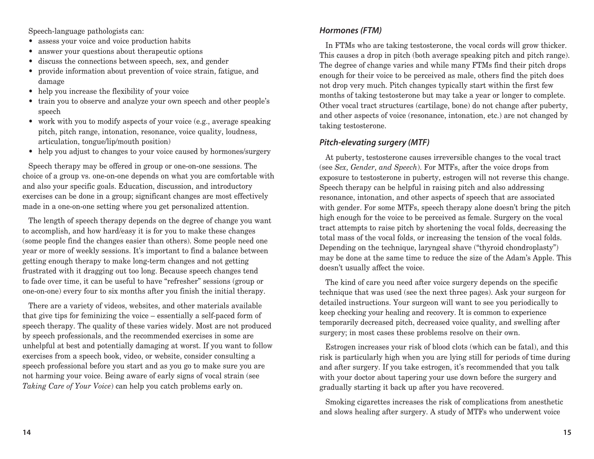Speech-language pathologists can:

- assess your voice and voice production habits
- answer your questions about therapeutic options
- discuss the connections between speech, sex, and gender
- provide information about prevention of voice strain, fatigue, and damage
- help you increase the flexibility of your voice
- train you to observe and analyze your own speech and other people's speech
- work with you to modify aspects of your voice (e.g., average speaking pitch, pitch range, intonation, resonance, voice quality, loudness, articulation, tongue/lip/mouth position)
- help you adjust to changes to your voice caused by hormones/surgery

Speech therapy may be offered in group or one-on-one sessions. The choice of a group vs. one-on-one depends on what you are comfortable with and also your specific goals. Education, discussion, and introductory exercises can be done in a group; significant changes are most effectively made in a one-on-one setting where you get personalized attention.

The length of speech therapy depends on the degree of change you want to accomplish, and how hard/easy it is for you to make these changes (some people find the changes easier than others). Some people need one year or more of weekly sessions. It's important to find a balance between getting enough therapy to make long-term changes and not getting frustrated with it dragging out too long. Because speech changes tend to fade over time, it can be useful to have "refresher" sessions (group or one-on-one) every four to six months after you finish the initial therapy.

There are a variety of videos, websites, and other materials available that give tips for feminizing the voice – essentially a self-paced form of speech therapy. The quality of these varies widely. Most are not produced by speech professionals, and the recommended exercises in some are unhelpful at best and potentially damaging at worst. If you want to follow exercises from a speech book, video, or website, consider consulting a speech professional before you start and as you go to make sure you are not harming your voice. Being aware of early signs of vocal strain (see *Taking Care of Your Voice*) can help you catch problems early on.

#### **Hormones (FTM)**

In FTMs who are taking testosterone, the vocal cords will grow thicker. This causes a drop in pitch (both average speaking pitch and pitch range). The degree of change varies and while many FTMs find their pitch drops enough for their voice to be perceived as male, others find the pitch does not drop very much. Pitch changes typically start within the first few months of taking testosterone but may take a year or longer to complete. Other vocal tract structures (cartilage, bone) do not change after puberty, and other aspects of voice (resonance, intonation, etc.) are not changed by taking testosterone.

#### **Pitch-elevating surgery (MTF)**

At puberty, testosterone causes irreversible changes to the vocal tract (see *Sex, Gender, and Speech*). For MTFs, after the voice drops from exposure to testosterone in puberty, estrogen will not reverse this change. Speech therapy can be helpful in raising pitch and also addressing resonance, intonation, and other aspects of speech that are associated with gender. For some MTFs, speech therapy alone doesn't bring the pitch high enough for the voice to be perceived as female. Surgery on the vocal tract attempts to raise pitch by shortening the vocal folds, decreasing the total mass of the vocal folds, or increasing the tension of the vocal folds. Depending on the technique, laryngeal shave ("thyroid chondroplasty") may be done at the same time to reduce the size of the Adam's Apple. This doesn't usually affect the voice.

The kind of care you need after voice surgery depends on the specific technique that was used (see the next three pages). Ask your surgeon for detailed instructions. Your surgeon will want to see you periodically to keep checking your healing and recovery. It is common to experience temporarily decreased pitch, decreased voice quality, and swelling after surgery; in most cases these problems resolve on their own.

Estrogen increases your risk of blood clots (which can be fatal), and this risk is particularly high when you are lying still for periods of time during and after surgery. If you take estrogen, it's recommended that you talk with your doctor about tapering your use down before the surgery and gradually starting it back up after you have recovered.

Smoking cigarettes increases the risk of complications from anesthetic and slows healing after surgery. A study of MTFs who underwent voice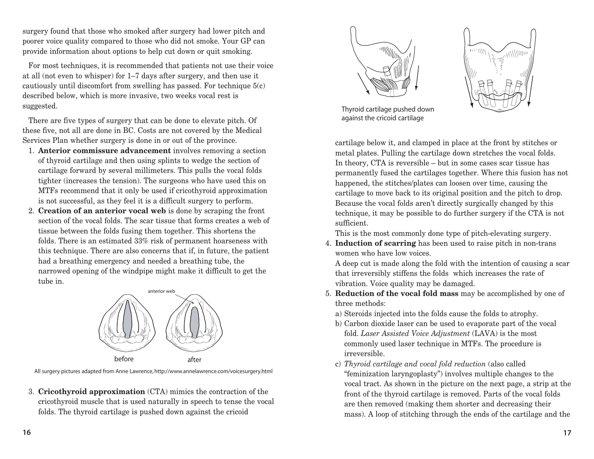surgery found that those who smoked after surgery had lower pitch and poorer voice quality compared to those who did not smoke. Your GP can provide information about options to help cut down or quit smoking.

For most techniques, it is recommended that patients not use their voice at all (not even to whisper) for 1–7 days after surgery, and then use it cautiously until discomfort from swelling has passed. For technique 5(c) described below, which is more invasive, two weeks vocal rest is suggested.

There are five types of surgery that can be done to elevate pitch. Of these five, not all are done in BC. Costs are not covered by the Medical Services Plan whether surgery is done in or out of the province.

- 1. **Anterior commissure advancement** involves removing a section of thyroid cartilage and then using splints to wedge the section of cartilage forward by several millimeters. This pulls the vocal folds tighter (increases the tension). The surgeons who have used this on MTFs recommend that it only be used if cricothyroid approximation is not successful, as they feel it is a difficult surgery to perform.
- 2. **Creation of an anterior vocal web** is done by scraping the front section of the vocal folds. The scar tissue that forms creates a web of tissue between the folds fusing them together. This shortens the folds. There is an estimated 33% risk of permanent hoarseness with this technique. There are also concerns that if, in future, the patient had a breathing emergency and needed a breathing tube, the narrowed opening of the windpipe might make it difficult to get the tube in.



All surgery pictures adapted from Anne Lawrence, http://www.annelawrence.com/voicesurgery.html

3. **Cricothyroid approximation** (CTA) mimics the contraction of the cricothyroid muscle that is used naturally in speech to tense the vocal folds. The thyroid cartilage is pushed down against the cricoid





Thyroid cartilage pushed down against the cricoid cartilage

cartilage below it, and clamped in place at the front by stitches or metal plates. Pulling the cartilage down stretches the vocal folds. In theory, CTA is reversible – but in some cases scar tissue has permanently fused the cartilages together. Where this fusion has not happened, the stitches/plates can loosen over time, causing the cartilage to move back to its original position and the pitch to drop. Because the vocal folds aren't directly surgically changed by this technique, it may be possible to do further surgery if the CTA is not sufficient.

This is the most commonly done type of pitch-elevating surgery.

4. **Induction of scarring** has been used to raise pitch in non-trans women who have low voices.

A deep cut is made along the fold with the intention of causing a scar that irreversibly stiffens the folds which increases the rate of vibration. Voice quality may be damaged.

- 5. **Reduction of the vocal fold mass** may be accomplished by one of three methods:
	- a) Steroids injected into the folds cause the folds to atrophy.
	- b) Carbon dioxide laser can be used to evaporate part of the vocal fold. *Laser Assisted Voice Adjustment* (LAVA) is the most commonly used laser technique in MTFs. The procedure is irreversible.
	- c) *Thyroid cartilage and vocal fold reduction* (also called "feminization laryngoplasty") involves multiple changes to the vocal tract. As shown in the picture on the next page, a strip at the front of the thyroid cartilage is removed. Parts of the vocal folds are then removed (making them shorter and decreasing their mass). A loop of stitching through the ends of the cartilage and the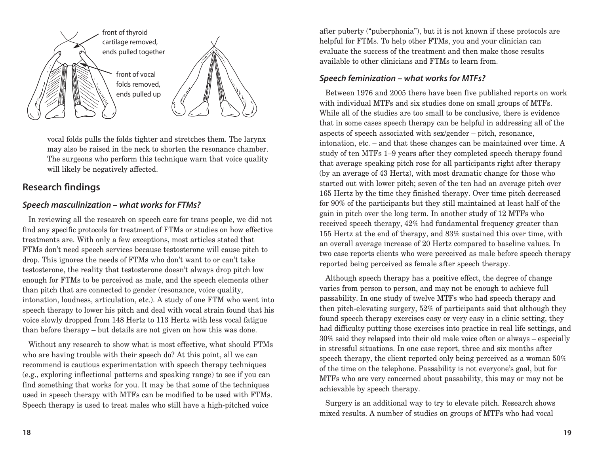

vocal folds pulls the folds tighter and stretches them. The larynx may also be raised in the neck to shorten the resonance chamber. The surgeons who perform this technique warn that voice quality will likely be negatively affected.

#### **Research findings**

#### **Speech masculinization – what works for FTMs?**

In reviewing all the research on speech care for trans people, we did not find any specific protocols for treatment of FTMs or studies on how effective treatments are. With only a few exceptions, most articles stated that FTMs don't need speech services because testosterone will cause pitch to drop. This ignores the needs of FTMs who don't want to or can't take testosterone, the reality that testosterone doesn't always drop pitch low enough for FTMs to be perceived as male, and the speech elements other than pitch that are connected to gender (resonance, voice quality, intonation, loudness, articulation, etc.). A study of one FTM who went into speech therapy to lower his pitch and deal with vocal strain found that his voice slowly dropped from 148 Hertz to 113 Hertz with less vocal fatigue than before therapy – but details are not given on how this was done.

Without any research to show what is most effective, what should FTMs who are having trouble with their speech do? At this point, all we can recommend is cautious experimentation with speech therapy techniques (e.g., exploring inflectional patterns and speaking range) to see if you can find something that works for you. It may be that some of the techniques used in speech therapy with MTFs can be modified to be used with FTMs. Speech therapy is used to treat males who still have a high-pitched voice

after puberty ("puberphonia"), but it is not known if these protocols are helpful for FTMs. To help other FTMs, you and your clinician can evaluate the success of the treatment and then make those results available to other clinicians and FTMs to learn from.

#### **Speech feminization – what works for MTFs?**

Between 1976 and 2005 there have been five published reports on work with individual MTFs and six studies done on small groups of MTFs. While all of the studies are too small to be conclusive, there is evidence that in some cases speech therapy can be helpful in addressing all of the aspects of speech associated with sex/gender – pitch, resonance, intonation, etc. – and that these changes can be maintained over time. A study of ten MTFs 1–9 years after they completed speech therapy found that average speaking pitch rose for all participants right after therapy (by an average of 43 Hertz), with most dramatic change for those who started out with lower pitch; seven of the ten had an average pitch over 165 Hertz by the time they finished therapy. Over time pitch decreased for 90% of the participants but they still maintained at least half of the gain in pitch over the long term. In another study of 12 MTFs who received speech therapy, 42% had fundamental frequency greater than 155 Hertz at the end of therapy, and 83% sustained this over time, with an overall average increase of 20 Hertz compared to baseline values. In two case reports clients who were perceived as male before speech therapy reported being perceived as female after speech therapy.

Although speech therapy has a positive effect, the degree of change varies from person to person, and may not be enough to achieve full passability. In one study of twelve MTFs who had speech therapy and then pitch-elevating surgery, 52% of participants said that although they found speech therapy exercises easy or very easy in a clinic setting, they had difficulty putting those exercises into practice in real life settings, and 30% said they relapsed into their old male voice often or always – especially in stressful situations. In one case report, three and six months after speech therapy, the client reported only being perceived as a woman 50% of the time on the telephone. Passability is not everyone's goal, but for MTFs who are very concerned about passability, this may or may not be achievable by speech therapy.

Surgery is an additional way to try to elevate pitch. Research shows mixed results. A number of studies on groups of MTFs who had vocal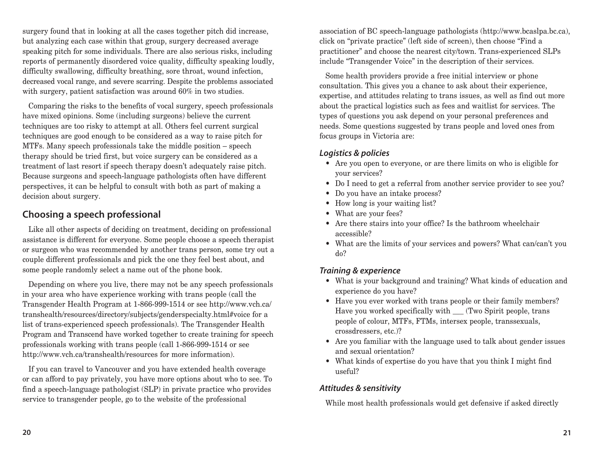surgery found that in looking at all the cases together pitch did increase, but analyzing each case within that group, surgery decreased average speaking pitch for some individuals. There are also serious risks, including reports of permanently disordered voice quality, difficulty speaking loudly, difficulty swallowing, difficulty breathing, sore throat, wound infection, decreased vocal range, and severe scarring. Despite the problems associated with surgery, patient satisfaction was around 60% in two studies.

Comparing the risks to the benefits of vocal surgery, speech professionals have mixed opinions. Some (including surgeons) believe the current techniques are too risky to attempt at all. Others feel current surgical techniques are good enough to be considered as a way to raise pitch for MTFs. Many speech professionals take the middle position – speech therapy should be tried first, but voice surgery can be considered as a treatment of last resort if speech therapy doesn't adequately raise pitch. Because surgeons and speech-language pathologists often have different perspectives, it can be helpful to consult with both as part of making a decision about surgery.

#### **Choosing a speech professional**

Like all other aspects of deciding on treatment, deciding on professional assistance is different for everyone. Some people choose a speech therapist or surgeon who was recommended by another trans person, some try out a couple different professionals and pick the one they feel best about, and some people randomly select a name out of the phone book.

Depending on where you live, there may not be any speech professionals in your area who have experience working with trans people (call the Transgender Health Program at 1-866-999-1514 or see http://www.vch.ca/ transhealth/resources/directory/subjects/genderspecialty.html#voice for a list of trans-experienced speech professionals). The Transgender Health Program and Transcend have worked together to create training for speech professionals working with trans people (call 1-866-999-1514 or see http://www.vch.ca/transhealth/resources for more information).

If you can travel to Vancouver and you have extended health coverage or can afford to pay privately, you have more options about who to see. To find a speech-language pathologist (SLP) in private practice who provides service to transgender people, go to the website of the professional

association of BC speech-language pathologists (http://www.bcaslpa.bc.ca), click on "private practice" (left side of screen), then choose "Find a practitioner" and choose the nearest city/town. Trans-experienced SLPs include "Transgender Voice" in the description of their services.

Some health providers provide a free initial interview or phone consultation. This gives you a chance to ask about their experience, expertise, and attitudes relating to trans issues, as well as find out more about the practical logistics such as fees and waitlist for services. The types of questions you ask depend on your personal preferences and needs. Some questions suggested by trans people and loved ones from focus groups in Victoria are:

#### **Logistics & policies**

- Are you open to everyone, or are there limits on who is eligible for your services?
- Do I need to get a referral from another service provider to see you?
- Do you have an intake process?
- How long is your waiting list?
- What are your fees?
- Are there stairs into your office? Is the bathroom wheelchair accessible?
- What are the limits of your services and powers? What can/can't you do?

#### **Training & experience**

- What is your background and training? What kinds of education and experience do you have?
- Have you ever worked with trans people or their family members? Have you worked specifically with (Two Spirit people, trans) people of colour, MTFs, FTMs, intersex people, transsexuals, crossdressers, etc.)?
- Are you familiar with the language used to talk about gender issues and sexual orientation?
- What kinds of expertise do you have that you think I might find useful?

#### **Attitudes & sensitivity**

While most health professionals would get defensive if asked directly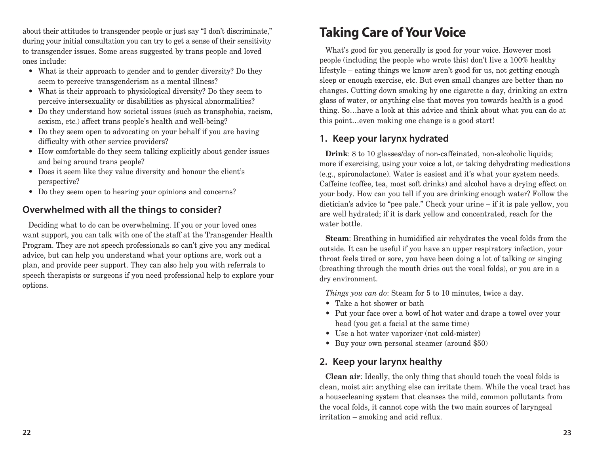about their attitudes to transgender people or just say "I don't discriminate," during your initial consultation you can try to get a sense of their sensitivity to transgender issues. Some areas suggested by trans people and loved ones include:

- What is their approach to gender and to gender diversity? Do they seem to perceive transgenderism as a mental illness?
- What is their approach to physiological diversity? Do they seem to perceive intersexuality or disabilities as physical abnormalities?
- Do they understand how societal issues (such as transphobia, racism, sexism, etc.) affect trans people's health and well-being?
- Do they seem open to advocating on your behalf if you are having difficulty with other service providers?
- How comfortable do they seem talking explicitly about gender issues and being around trans people?
- Does it seem like they value diversity and honour the client's perspective?
- Do they seem open to hearing your opinions and concerns?

#### **Overwhelmed with all the things to consider?**

Deciding what to do can be overwhelming. If you or your loved ones want support, you can talk with one of the staff at the Transgender Health Program. They are not speech professionals so can't give you any medical advice, but can help you understand what your options are, work out a plan, and provide peer support. They can also help you with referrals to speech therapists or surgeons if you need professional help to explore your options.

# **Taking Care of Your Voice**

What's good for you generally is good for your voice. However most people (including the people who wrote this) don't live a 100% healthy lifestyle – eating things we know aren't good for us, not getting enough sleep or enough exercise, etc. But even small changes are better than no changes. Cutting down smoking by one cigarette a day, drinking an extra glass of water, or anything else that moves you towards health is a good thing. So…have a look at this advice and think about what you can do at this point…even making one change is a good start!

#### **1. Keep your larynx hydrated**

**Drink**: 8 to 10 glasses/day of non-caffeinated, non-alcoholic liquids; more if exercising, using your voice a lot, or taking dehydrating medications (e.g., spironolactone). Water is easiest and it's what your system needs. Caffeine (coffee, tea, most soft drinks) and alcohol have a drying effect on your body. How can you tell if you are drinking enough water? Follow the dietician's advice to "pee pale." Check your urine – if it is pale yellow, you are well hydrated; if it is dark yellow and concentrated, reach for the water bottle.

**Steam**: Breathing in humidified air rehydrates the vocal folds from the outside. It can be useful if you have an upper respiratory infection, your throat feels tired or sore, you have been doing a lot of talking or singing (breathing through the mouth dries out the vocal folds), or you are in a dry environment.

*Things you can do*: Steam for 5 to 10 minutes, twice a day.

- Take a hot shower or bath
- Put your face over a bowl of hot water and drape a towel over your head (you get a facial at the same time)
- Use a hot water vaporizer (not cold-mister)
- Buy your own personal steamer (around \$50)

#### **2. Keep your larynx healthy**

**Clean air**: Ideally, the only thing that should touch the vocal folds is clean, moist air: anything else can irritate them. While the vocal tract has a housecleaning system that cleanses the mild, common pollutants from the vocal folds, it cannot cope with the two main sources of laryngeal irritation – smoking and acid reflux.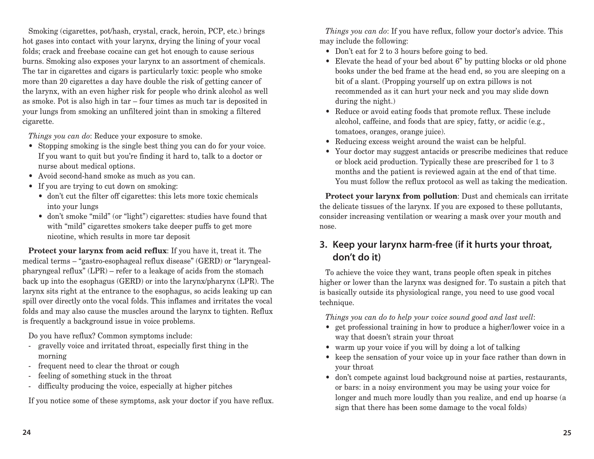Smoking (cigarettes, pot/hash, crystal, crack, heroin, PCP, etc.) brings hot gases into contact with your larynx, drying the lining of your vocal folds; crack and freebase cocaine can get hot enough to cause serious burns. Smoking also exposes your larynx to an assortment of chemicals. The tar in cigarettes and cigars is particularly toxic: people who smoke more than 20 cigarettes a day have double the risk of getting cancer of the larynx, with an even higher risk for people who drink alcohol as well as smoke. Pot is also high in tar – four times as much tar is deposited in your lungs from smoking an unfiltered joint than in smoking a filtered cigarette.

*Things you can do*: Reduce your exposure to smoke.

- Stopping smoking is the single best thing you can do for your voice. If you want to quit but you're finding it hard to, talk to a doctor or nurse about medical options.
- Avoid second-hand smoke as much as you can.
- If you are trying to cut down on smoking:
	- don't cut the filter off cigarettes: this lets more toxic chemicals into your lungs
	- don't smoke "mild" (or "light") cigarettes: studies have found that with "mild" cigarettes smokers take deeper puffs to get more nicotine, which results in more tar deposit

**Protect your larynx from acid reflux**: If you have it, treat it. The medical terms – "gastro-esophageal reflux disease" (GERD) or "laryngealpharyngeal reflux" (LPR) – refer to a leakage of acids from the stomach back up into the esophagus (GERD) or into the larynx/pharynx (LPR). The larynx sits right at the entrance to the esophagus, so acids leaking up can spill over directly onto the vocal folds. This inflames and irritates the vocal folds and may also cause the muscles around the larynx to tighten. Reflux is frequently a background issue in voice problems.

Do you have reflux? Common symptoms include:

- gravelly voice and irritated throat, especially first thing in the morning
- frequent need to clear the throat or cough
- feeling of something stuck in the throat
- difficulty producing the voice, especially at higher pitches

If you notice some of these symptoms, ask your doctor if you have reflux.

*Things you can do*: If you have reflux, follow your doctor's advice. This may include the following:

- Don't eat for 2 to 3 hours before going to bed.
- Elevate the head of your bed about 6" by putting blocks or old phone books under the bed frame at the head end, so you are sleeping on a bit of a slant. (Propping yourself up on extra pillows is not recommended as it can hurt your neck and you may slide down during the night.)
- Reduce or avoid eating foods that promote reflux. These include alcohol, caffeine, and foods that are spicy, fatty, or acidic (e.g., tomatoes, oranges, orange juice).
- Reducing excess weight around the waist can be helpful.
- Your doctor may suggest antacids or prescribe medicines that reduce or block acid production. Typically these are prescribed for 1 to 3 months and the patient is reviewed again at the end of that time. You must follow the reflux protocol as well as taking the medication.

**Protect your larynx from pollution**: Dust and chemicals can irritate the delicate tissues of the larynx. If you are exposed to these pollutants, consider increasing ventilation or wearing a mask over your mouth and nose.

#### **3. Keep your larynx harm-free (if it hurts your throat, don't do it)**

To achieve the voice they want, trans people often speak in pitches higher or lower than the larynx was designed for. To sustain a pitch that is basically outside its physiological range, you need to use good vocal technique.

*Things you can do to help your voice sound good and last well*:

- get professional training in how to produce a higher/lower voice in a way that doesn't strain your throat
- warm up your voice if you will by doing a lot of talking
- keep the sensation of your voice up in your face rather than down in your throat
- don't compete against loud background noise at parties, restaurants, or bars: in a noisy environment you may be using your voice for longer and much more loudly than you realize, and end up hoarse (a sign that there has been some damage to the vocal folds)